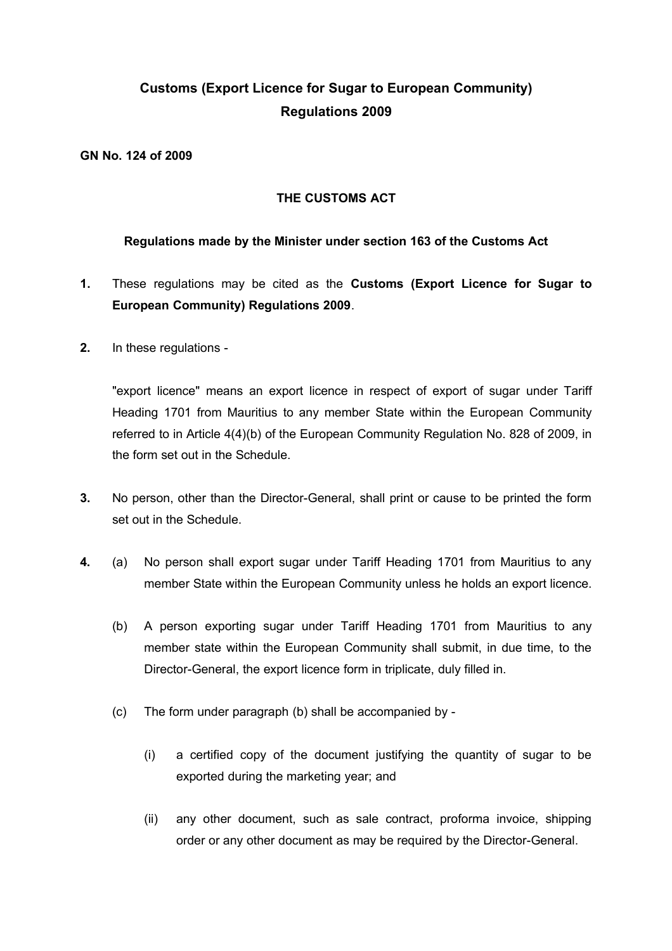# **Customs (Export Licence for Sugar to European Community) Regulations 2009**

**GN No. 124 of 2009**

#### **THE CUSTOMS ACT**

#### **Regulations made by the Minister under section 163 of the Customs Act**

- **1.** These regulations may be cited as the **Customs (Export Licence for Sugar to European Community) Regulations 2009**.
- **2.** In these regulations -

"export licence" means an export licence in respect of export of sugar under Tariff Heading 1701 from Mauritius to any member State within the European Community referred to in Article 4(4)(b) of the European Community Regulation No. 828 of 2009, in the form set out in the Schedule.

- **3.** No person, other than the Director-General, shall print or cause to be printed the form set out in the Schedule.
- **4.** (a) No person shall export sugar under Tariff Heading 1701 from Mauritius to any member State within the European Community unless he holds an export licence.
	- (b) A person exporting sugar under Tariff Heading 1701 from Mauritius to any member state within the European Community shall submit, in due time, to the Director-General, the export licence form in triplicate, duly filled in.
	- (c) The form under paragraph (b) shall be accompanied by
		- (i) a certified copy of the document justifying the quantity of sugar to be exported during the marketing year; and
		- (ii) any other document, such as sale contract, proforma invoice, shipping order or any other document as may be required by the Director-General.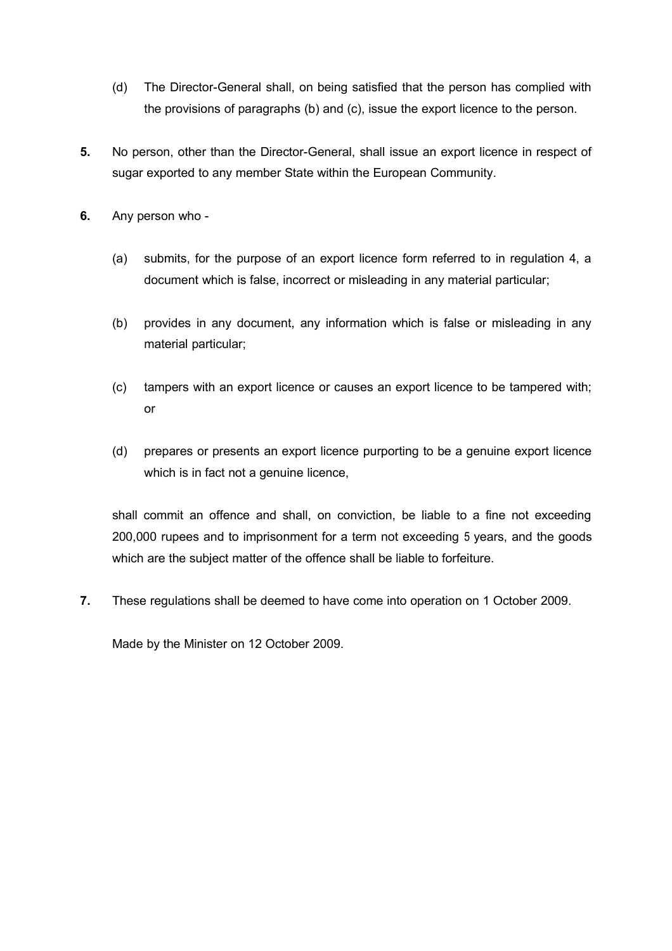- (d) The Director-General shall, on being satisfied that the person has complied with the provisions of paragraphs (b) and (c), issue the export licence to the person.
- **5.** No person, other than the Director-General, shall issue an export licence in respect of sugar exported to any member State within the European Community.
- **6.** Any person who
	- (a) submits, for the purpose of an export licence form referred to in regulation 4, a document which is false, incorrect or misleading in any material particular;
	- (b) provides in any document, any information which is false or misleading in any material particular;
	- (c) tampers with an export licence or causes an export licence to be tampered with; or
	- (d) prepares or presents an export licence purporting to be a genuine export licence which is in fact not a genuine licence,

shall commit an offence and shall, on conviction, be liable to a fine not exceeding 200,000 rupees and to imprisonment for a term not exceeding 5 years, and the goods which are the subject matter of the offence shall be liable to forfeiture.

**7.** These regulations shall be deemed to have come into operation on 1 October 2009.

Made by the Minister on 12 October 2009.